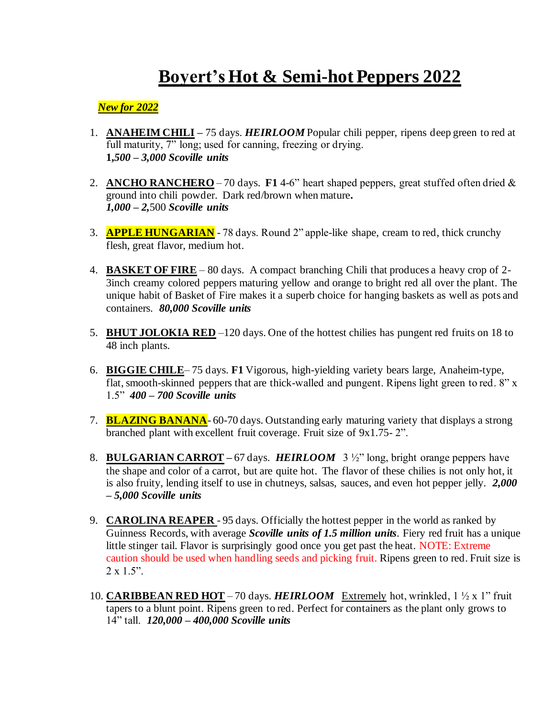## **Boyert's Hot & Semi-hot Peppers 2022**

## *New for 2022*

- 1. **ANAHEIM CHILI –** 75 days. *HEIRLOOM* Popular chili pepper, ripens deep green to red at full maturity, 7" long; used for canning, freezing or drying. **1,***500 – 3,000 Scoville units*
- 2. **ANCHO RANCHERO** 70 days. **F1** 4-6" heart shaped peppers, great stuffed often dried & ground into chili powder. Dark red/brown when mature**.**  *1,000 – 2,*500 *Scoville units*
- 3. **APPLE HUNGARIAN** 78 days. Round 2" apple-like shape, cream to red, thick crunchy flesh, great flavor, medium hot.
- 4. **BASKET OF FIRE** 80 days. A compact branching Chili that produces a heavy crop of 2- 3inch creamy colored peppers maturing yellow and orange to bright red all over the plant. The unique habit of Basket of Fire makes it a superb choice for hanging baskets as well as pots and containers. *80,000 Scoville units*
- 5. **BHUT JOLOKIA RED** –120 days. One of the hottest chilies has pungent red fruits on 18 to 48 inch plants.
- 6. **BIGGIE CHILE** 75 days. **F1** Vigorous, high-yielding variety bears large, Anaheim-type, flat, smooth-skinned peppers that are thick-walled and pungent. Ripens light green to red. 8" x 1.5"*400 – 700 Scoville units*
- 7. **BLAZING BANANA** 60-70 days. Outstanding early maturing variety that displays a strong branched plant with excellent fruit coverage. Fruit size of 9x1.75- 2".
- 8. **BULGARIAN CARROT –** 67 days. *HEIRLOOM* 3 ½" long, bright orange peppers have the shape and color of a carrot, but are quite hot. The flavor of these chilies is not only hot, it is also fruity, lending itself to use in chutneys, salsas, sauces, and even hot pepper jelly. *2,000 – 5,000 Scoville units*
- 9. **CAROLINA REAPER** 95 days. Officially the hottest pepper in the world as ranked by Guinness Records, with average *Scoville units of 1.5 million units*. Fiery red fruit has a unique little stinger tail. Flavor is surprisingly good once you get past the heat. NOTE: Extreme caution should be used when handling seeds and picking fruit. Ripens green to red. Fruit size is 2 x 1.5".
- 10. **CARIBBEAN RED HOT** 70 days. *HEIRLOOM* Extremely hot, wrinkled, 1 ½ x 1" fruit tapers to a blunt point. Ripens green to red. Perfect for containers as the plant only grows to 14" tall. *120,000 – 400,000 Scoville units*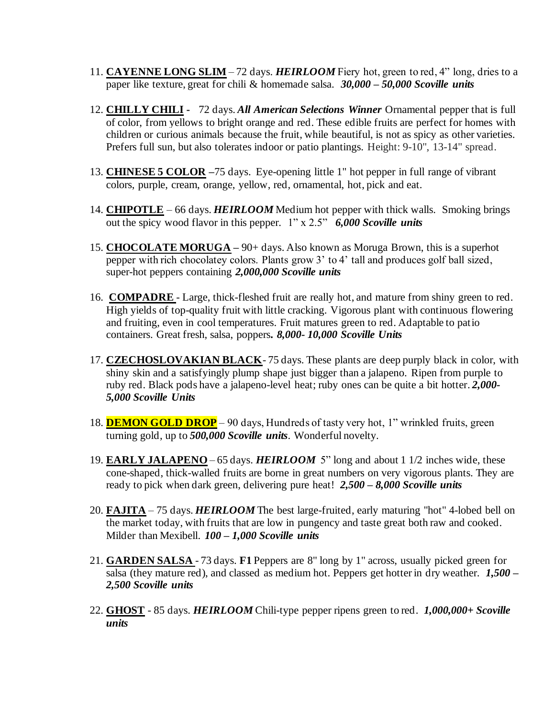- 11. **CAYENNE LONG SLIM** 72 days. *HEIRLOOM* Fiery hot, green to red, 4" long, dries to a paper like texture, great for chili & homemade salsa. *30,000 – 50,000 Scoville units*
- 12. **CHILLY CHILI** 72 days. *All American Selections Winner* Ornamental pepper that is full of color, from yellows to bright orange and red. These edible fruits are perfect for homes with children or curious animals because the fruit, while beautiful, is not as spicy as other varieties. Prefers full sun, but also tolerates indoor or patio plantings. Height: 9-10", 13-14" spread.
- 13. **CHINESE 5 COLOR –**75 days. Eye-opening little 1" hot pepper in full range of vibrant colors, purple, cream, orange, yellow, red, ornamental, hot, pick and eat.
- 14. **CHIPOTLE** 66 days. *HEIRLOOM* Medium hot pepper with thick walls. Smoking brings out the spicy wood flavor in this pepper. 1" x 2.5" *6,000 Scoville units*
- 15. **CHOCOLATE MORUGA –** 90+ days. Also known as Moruga Brown, this is a superhot pepper with rich chocolatey colors. Plants grow 3' to 4' tall and produces golf ball sized, super-hot peppers containing *2,000,000 Scoville units*
- 16. **COMPADRE**  Large, thick-fleshed fruit are really hot, and mature from shiny green to red. High yields of top-quality fruit with little cracking. Vigorous plant with continuous flowering and fruiting, even in cool temperatures. Fruit matures green to red. Adaptable to patio containers. Great fresh, salsa, poppers*. 8,000- 10,000 Scoville Units*
- 17. **CZECHOSLOVAKIAN BLACK** 75 days. These plants are deep purply black in color, with shiny skin and a satisfyingly plump shape just bigger than a jalapeno. Ripen from purple to ruby red. Black pods have a jalapeno-level heat; ruby ones can be quite a bit hotter. *2,000- 5,000 Scoville Units*
- 18. **DEMON GOLD DROP** 90 days, Hundreds of tasty very hot, 1" wrinkled fruits, green turning gold, up to *500,000 Scoville units*. Wonderful novelty.
- 19. **EARLY JALAPENO** 65 days. *HEIRLOOM* 5" long and about 1 1/2 inches wide, these cone-shaped, thick-walled fruits are borne in great numbers on very vigorous plants. They are ready to pick when dark green, delivering pure heat! *2,500 – 8,000 Scoville units*
- 20. **FAJITA** 75 days. *HEIRLOOM* The best large-fruited, early maturing "hot" 4-lobed bell on the market today, with fruits that are low in pungency and taste great both raw and cooked. Milder than Mexibell. *100 – 1,000 Scoville units*
- 21. **GARDEN SALSA**  73 days. **F1** Peppers are 8" long by 1" across, usually picked green for salsa (they mature red), and classed as medium hot. Peppers get hotter in dry weather. *1,500 – 2,500 Scoville units*
- 22. **GHOST** 85 days. *HEIRLOOM* Chili-type pepper ripens green to red. *1,000,000+ Scoville units*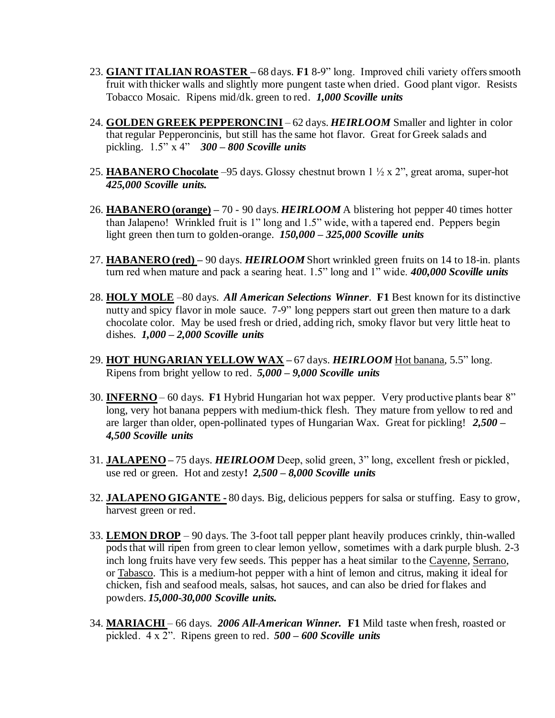- 23. **GIANT ITALIAN ROASTER –** 68 days. **F1** 8-9" long. Improved chili variety offers smooth fruit with thicker walls and slightly more pungent taste when dried. Good plant vigor. Resists Tobacco Mosaic. Ripens mid/dk. green to red. *1,000 Scoville units*
- 24. **GOLDEN GREEK PEPPERONCINI** 62 days. *HEIRLOOM* Smaller and lighter in color that regular Pepperoncinis, but still has the same hot flavor. Great for Greek salads and pickling. 1.5" x 4" *300 – 800 Scoville units*
- 25. **HABANERO Chocolate** –95 days. Glossy chestnut brown 1 ½ x 2", great aroma, super-hot *425,000 Scoville units.*
- 26. **HABANERO (orange) –** 70 90 days. *HEIRLOOM* A blistering hot pepper 40 times hotter than Jalapeno! Wrinkled fruit is 1" long and 1.5" wide, with a tapered end. Peppers begin light green then turn to golden-orange. *150,000 – 325,000 Scoville units*
- 27. **HABANERO (red) –** 90 days. *HEIRLOOM* Short wrinkled green fruits on 14 to 18-in. plants turn red when mature and pack a searing heat. 1.5" long and 1" wide. *400,000 Scoville units*
- 28. **HOLY MOLE** –80 days. *All American Selections Winner*. **F1** Best known for its distinctive nutty and spicy flavor in mole sauce. 7-9" long peppers start out green then mature to a dark chocolate color. May be used fresh or dried, adding rich, smoky flavor but very little heat to dishes. *1,000 – 2,000 Scoville units*
- 29. **HOT HUNGARIAN YELLOW WAX –** 67 days. *HEIRLOOM* Hot banana, 5.5" long. Ripens from bright yellow to red. *5,000 – 9,000 Scoville units*
- 30. **INFERNO** 60 days. **F1** Hybrid Hungarian hot wax pepper. Very productive plants bear 8" long, very hot banana peppers with medium-thick flesh. They mature from yellow to red and are larger than older, open-pollinated types of Hungarian Wax. Great for pickling! *2,500 – 4,500 Scoville units*
- 31. **JALAPENO –** 75 days. *HEIRLOOM* Deep, solid green, 3" long, excellent fresh or pickled, use red or green. Hot and zesty**!** *2,500 – 8,000 Scoville units*
- 32. **JALAPENO GIGANTE -** 80 days. Big, delicious peppers for salsa or stuffing. Easy to grow, harvest green or red.
- 33. **LEMON DROP** 90 days. The 3-foot tall pepper plant heavily produces crinkly, thin-walled pods that will ripen from green to clear lemon yellow, sometimes with a dark purple blush. 2-3 inch long fruits have very few seeds. This pepper has a heat similar to the Cayenne, Serrano, or Tabasco. This is a medium-hot pepper with a hint of lemon and citrus, making it ideal for chicken, fish and seafood meals, salsas, hot sauces, and can also be dried for flakes and powders. *15,000-30,000 Scoville units.*
- 34. **MARIACHI**  66 days. *2006 All-American Winner.* **F1** Mild taste when fresh, roasted or pickled. 4 x 2". Ripens green to red. *500 – 600 Scoville units*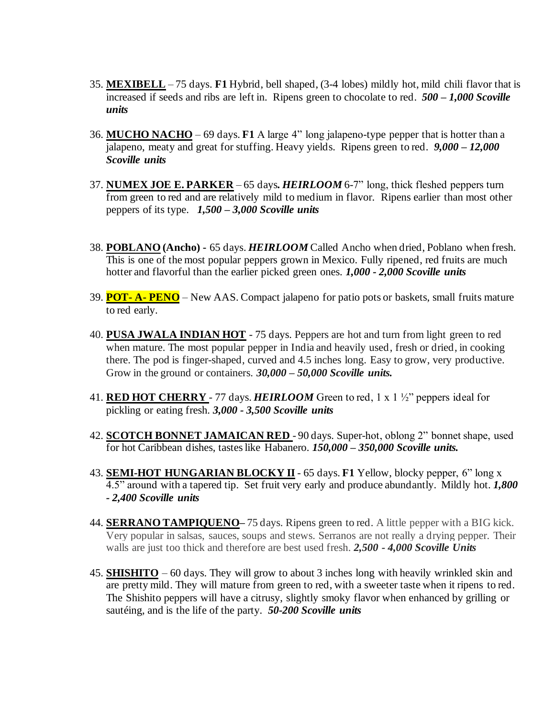- 35. **MEXIBELL** 75 days. **F1** Hybrid, bell shaped, (3-4 lobes) mildly hot, mild chili flavor that is increased if seeds and ribs are left in. Ripens green to chocolate to red. *500 – 1,000 Scoville units*
- 36. **MUCHO NACHO** 69 days. **F1** A large 4" long jalapeno-type pepper that is hotter than a jalapeno, meaty and great for stuffing. Heavy yields. Ripens green to red. *9,000 – 12,000 Scoville units*
- 37. **NUMEX JOE E. PARKER** 65 days*. HEIRLOOM* 6-7" long, thick fleshed peppers turn from green to red and are relatively mild to medium in flavor. Ripens earlier than most other peppers of its type. *1,500 – 3,000 Scoville units*
- 38. **POBLANO (Ancho) -** 65 days. *HEIRLOOM* Called Ancho when dried, Poblano when fresh. This is one of the most popular peppers grown in Mexico. Fully ripened, red fruits are much hotter and flavorful than the earlier picked green ones. *1,000 - 2,000 Scoville units*
- 39. **POT- A- PENO** New AAS. Compact jalapeno for patio pots or baskets, small fruits mature to red early.
- 40. **PUSA JWALA INDIAN HOT** 75 days. Peppers are hot and turn from light green to red when mature. The most popular pepper in India and heavily used, fresh or dried, in cooking there. The pod is finger-shaped, curved and 4.5 inches long. Easy to grow, very productive. Grow in the ground or containers. *30,000 – 50,000 Scoville units.*
- 41. **RED HOT CHERRY**  77 days. *HEIRLOOM* Green to red, 1 x 1 ½" peppers ideal for pickling or eating fresh. *3,000 - 3,500 Scoville units*
- 42. **SCOTCH BONNET JAMAICAN RED**  90 days. Super-hot, oblong 2" bonnet shape, used for hot Caribbean dishes, tastes like Habanero. *150,000 – 350,000 Scoville units.*
- 43. **SEMI-HOT HUNGARIAN BLOCKY II** 65 days. **F1** Yellow, blocky pepper, 6" long x 4.5" around with a tapered tip. Set fruit very early and produce abundantly. Mildly hot. *1,800 - 2,400 Scoville units*
- 44. **SERRANO TAMPIQUENO–** 75 days. Ripens green to red. A little pepper with a BIG kick. Very popular in salsas, sauces, soups and stews. Serranos are not really a drying pepper. Their walls are just too thick and therefore are best used fresh. *2,500 - 4,000 Scoville Units*
- 45. **SHISHITO** 60 days. They will grow to about 3 inches long with heavily wrinkled skin and are pretty mild. They will mature from green to red, with a sweeter taste when it ripens to red. The Shishito peppers will have a citrusy, slightly smoky flavor when enhanced by grilling or sautéing, and is the life of the party. *50-200 Scoville units*